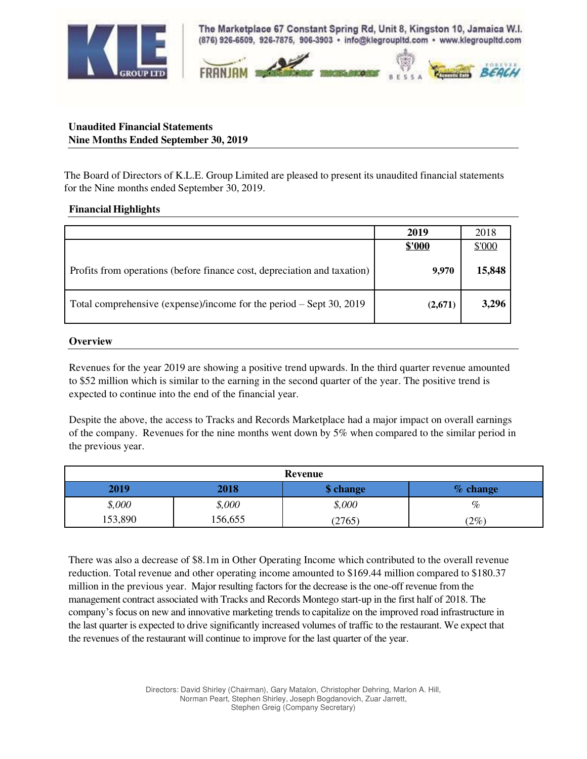

The Marketplace 67 Constant Spring Rd, Unit 8, Kingston 10, Jamaica W.I. (876) 926-6509, 926-7875, 906-3903 · info@klegroupitd.com · www.klegroupitd.com



## **Unaudited Financial Statements Nine Months Ended September 30, 2019**

The Board of Directors of K.L.E. Group Limited are pleased to present its unaudited financial statements for the Nine months ended September 30, 2019.

## **Financial Highlights**

|                                                                          | 2019    | 2018   |
|--------------------------------------------------------------------------|---------|--------|
|                                                                          | \$'000  | \$'000 |
| Profits from operations (before finance cost, depreciation and taxation) | 9.970   | 15,848 |
| Total comprehensive (expense)/income for the period $-$ Sept 30, 2019    | (2,671) | 3,296  |

## **Overview**

Revenues for the year 2019 are showing a positive trend upwards. In the third quarter revenue amounted to \$52 million which is similar to the earning in the second quarter of the year. The positive trend is expected to continue into the end of the financial year.

Despite the above, the access to Tracks and Records Marketplace had a major impact on overall earnings of the company. Revenues for the nine months went down by 5% when compared to the similar period in the previous year.

| <b>Revenue</b> |        |           |            |  |
|----------------|--------|-----------|------------|--|
| 2019           | 2018   | \$ change | $%$ change |  |
| \$,000         | \$,000 | \$,000    | $\%$       |  |
| 153,890        | 56,655 | 2765)     | $2\%)$     |  |

There was also a decrease of \$8.1m in Other Operating Income which contributed to the overall revenue reduction. Total revenue and other operating income amounted to \$169.44 million compared to \$180.37 million in the previous year. Major resulting factors for the decrease is the one-off revenue from the management contract associated with Tracks and Records Montego start-up in the first half of 2018. The company's focus on new and innovative marketing trends to capitalize on the improved road infrastructure in the last quarter is expected to drive significantly increased volumes of traffic to the restaurant. We expect that the revenues of the restaurant will continue to improve for the last quarter of the year.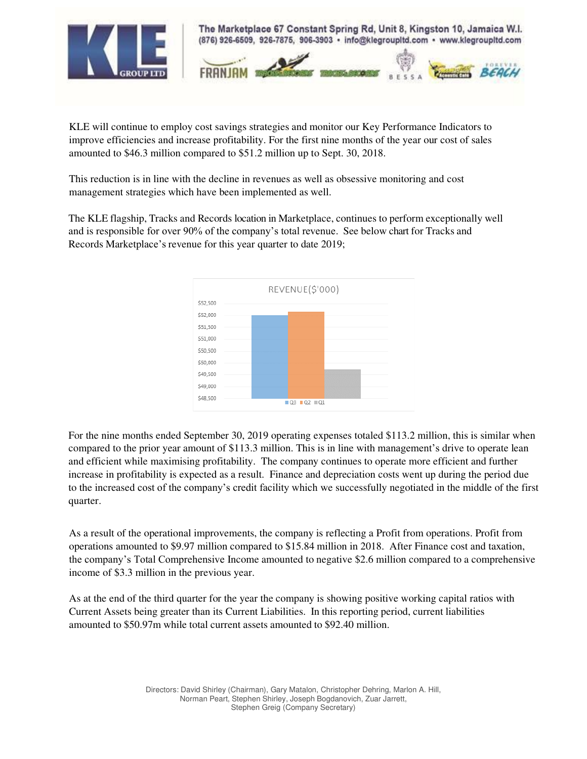

KLE will continue to employ cost savings strategies and monitor our Key Performance Indicators to improve efficiencies and increase profitability. For the first nine months of the year our cost of sales amounted to \$46.3 million compared to \$51.2 million up to Sept. 30, 2018.

This reduction is in line with the decline in revenues as well as obsessive monitoring and cost management strategies which have been implemented as well.

The KLE flagship, Tracks and Records location in Marketplace, continues to perform exceptionally well and is responsible for over 90% of the company's total revenue. See below chart for Tracks and Records Marketplace's revenue for this year quarter to date 2019;



For the nine months ended September 30, 2019 operating expenses totaled \$113.2 million, this is similar when compared to the prior year amount of \$113.3 million. This is in line with management's drive to operate lean and efficient while maximising profitability. The company continues to operate more efficient and further increase in profitability is expected as a result. Finance and depreciation costs went up during the period due to the increased cost of the company's credit facility which we successfully negotiated in the middle of the first quarter.

As a result of the operational improvements, the company is reflecting a Profit from operations. Profit from operations amounted to \$9.97 million compared to \$15.84 million in 2018. After Finance cost and taxation, the company's Total Comprehensive Income amounted to negative \$2.6 million compared to a comprehensive income of \$3.3 million in the previous year.

As at the end of the third quarter for the year the company is showing positive working capital ratios with Current Assets being greater than its Current Liabilities. In this reporting period, current liabilities amounted to \$50.97m while total current assets amounted to \$92.40 million.